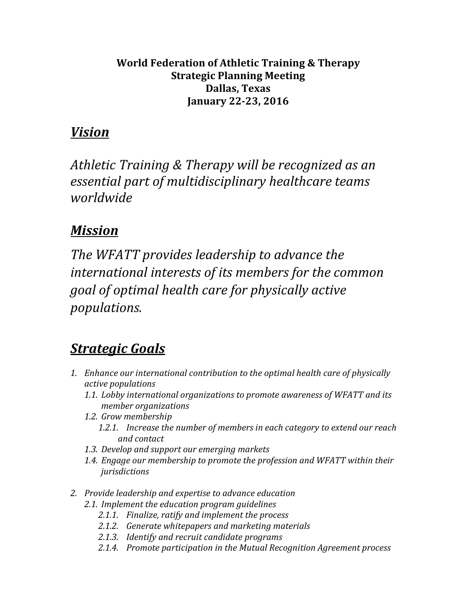## **World Federation of Athletic Training & Therapy Strategic Planning Meeting Dallas, Texas January 22-23, 2016**

## *Vision*

*Athletic Training & Therapy will be recognized as an*  essential part of multidisciplinary healthcare teams *worldwide*

## *Mission*

The WFATT provides leadership to advance the international interests of its members for the common *goal* of optimal health care for physically active *populations.*

## *Strategic Goals*

- 1. *Enhance our international contribution to the optimal health care of physically active populations*
	- 1.1. Lobby international organizations to promote awareness of WFATT and its *member organizations*
	- *1.2. Grow membership*
		- 1.2.1. Increase the number of members in each category to extend our reach *and contact*
	- 1.3. Develop and support our emerging markets
	- 1.4. *Engage our membership to promote the profession and WFATT within their jurisdictions*
- 2. Provide leadership and expertise to advance education
	- 2.1. *Implement the education program guidelines* 
		- 2.1.1. Finalize, ratify and implement the process
		- 2.1.2. Generate whitepapers and marketing materials
		- *2.1.3. Identify and recruit candidate programs*
		- 2.1.4. Promote participation in the Mutual Recognition Agreement process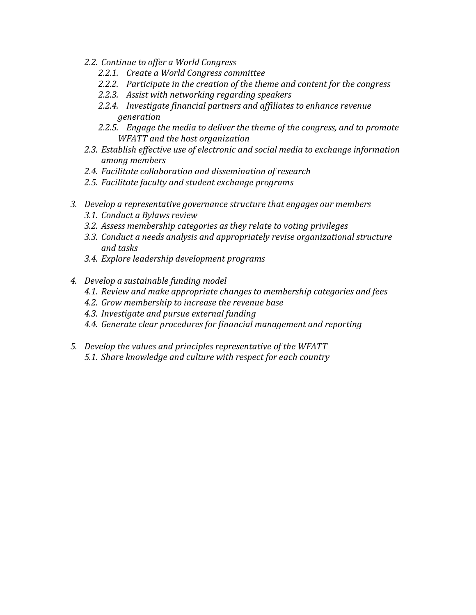- 2.2. Continue to offer a World Congress
	- 2.2.1. Create a World Congress committee
	- 2.2.2. Participate in the creation of the theme and content for the congress
	- 2.2.3. Assist with networking regarding speakers
	- 2.2.4. Investigate financial partners and affiliates to enhance revenue *generation*
	- 2.2.5. *Engage the media to deliver the theme of the congress, and to promote WFATT and the host organization*
- 2.3. *Establish effective use of electronic and social media to exchange information among members*
- 2.4. Facilitate collaboration and dissemination of research
- 2.5. Facilitate faculty and student exchange programs
- 3. Develop a representative governance structure that engages our members
	- *3.1. Conduct a Bylaws review*
	- 3.2. Assess membership categories as they relate to voting privileges
	- *3.3. Conduct a needs analysis and appropriately revise organizational structure and tasks*
	- *3.4. Explore leadership development programs*
- *4. Develop a sustainable funding model*
	- *4.1. Review and make appropriate changes to membership categories and fees*
	- *4.2. Grow membership to increase the revenue base*
	- *4.3. Investigate and pursue external funding*
	- 4.4. Generate clear procedures for financial management and reporting
- *5. Develop the values and principles representative of the WFATT* 5.1. *Share knowledge and culture with respect for each country*